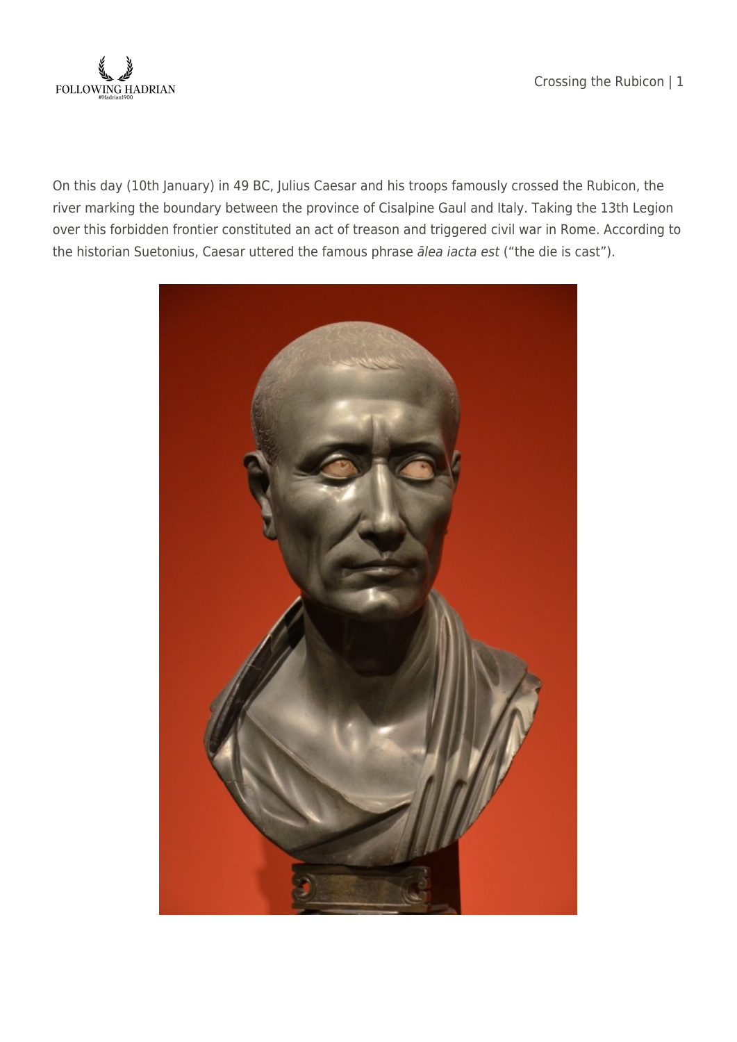Crossing the Rubicon | 1



On this day (10th January) in 49 BC, Julius Caesar and his troops famously crossed the Rubicon, the river marking the boundary between the province of Cisalpine Gaul and Italy. Taking the 13th Legion over this forbidden frontier constituted an act of treason and triggered civil war in Rome. According to the historian Suetonius, Caesar uttered the famous phrase ālea iacta est ("the die is cast").

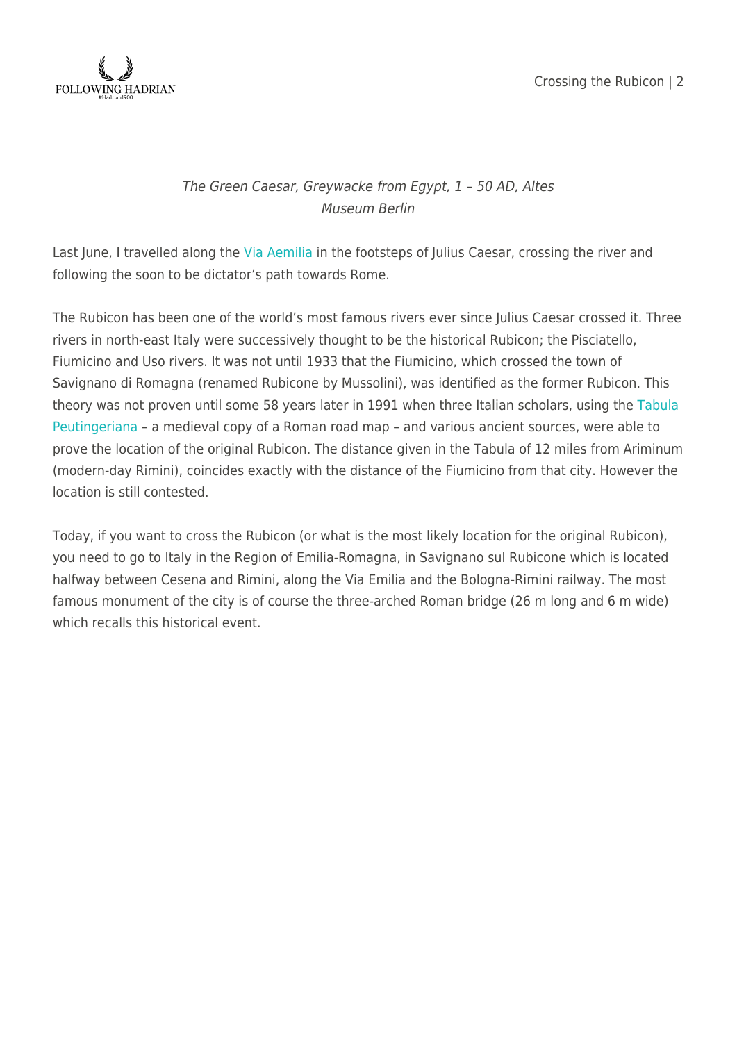



## The Green Caesar, Greywacke from Egypt, 1 – 50 AD, Altes Museum Berlin

Last June, I travelled along the [Via Aemilia](https://en.wikipedia.org/wiki/Via_Aemilia) in the footsteps of Julius Caesar, crossing the river and following the soon to be dictator's path towards Rome.

The Rubicon has been one of the world's most famous rivers ever since Julius Caesar crossed it. Three rivers in north-east Italy were successively thought to be the historical Rubicon; the Pisciatello, Fiumicino and Uso rivers. It was not until 1933 that the Fiumicino, which crossed the town of Savignano di Romagna (renamed Rubicone by Mussolini), was identified as the former Rubicon. This theory was not proven until some 58 years later in 1991 when three Italian scholars, using the [Tabula](http://en.wikipedia.org/wiki/Tabula_Peutingeriana) [Peutingeriana](http://en.wikipedia.org/wiki/Tabula_Peutingeriana) – a medieval copy of a Roman road map – and various ancient sources, were able to prove the location of the original Rubicon. The distance given in the Tabula of 12 miles from Ariminum (modern-day Rimini), coincides exactly with the distance of the Fiumicino from that city. However the location is still contested.

Today, if you want to cross the Rubicon (or what is the most likely location for the original Rubicon), you need to go to Italy in the Region of Emilia-Romagna, in Savignano sul Rubicone which is located halfway between Cesena and Rimini, along the Via Emilia and the Bologna-Rimini railway. The most famous monument of the city is of course the three-arched Roman bridge (26 m long and 6 m wide) which recalls this historical event.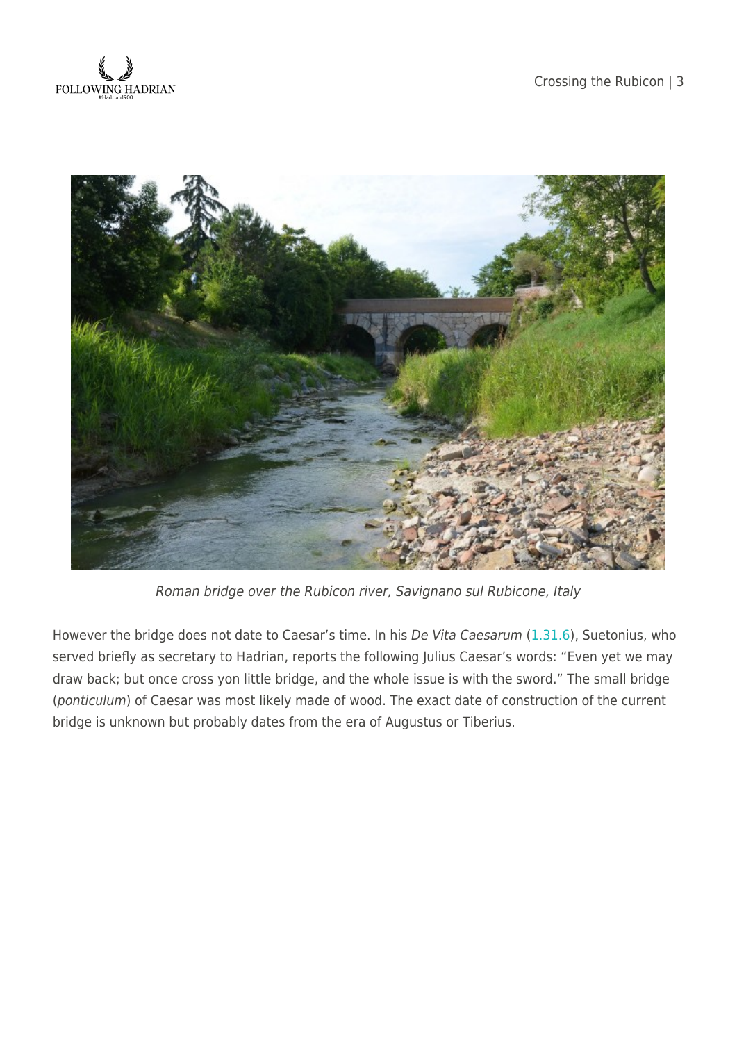



Roman bridge over the Rubicon river, Savignano sul Rubicone, Italy

However the bridge does not date to Caesar's time. In his De Vita Caesarum [\(1.31.6\)](http://penelope.uchicago.edu/Thayer/E/Roman/Texts/Suetonius/12Caesars/Julius*.html), Suetonius, who served briefly as secretary to Hadrian, reports the following Julius Caesar's words: "Even yet we may draw back; but once cross yon little bridge, and the whole issue is with the sword." The small bridge (ponticulum) of Caesar was most likely made of wood. The exact date of construction of the current bridge is unknown but probably dates from the era of Augustus or Tiberius.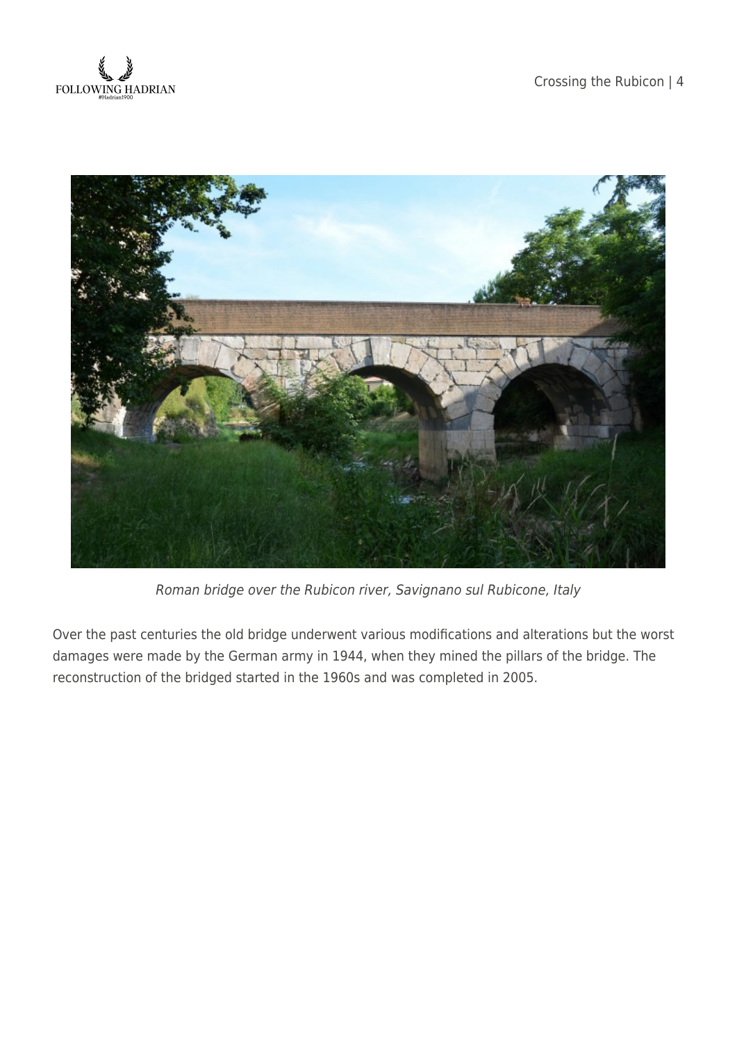



Roman bridge over the Rubicon river, Savignano sul Rubicone, Italy

Over the past centuries the old bridge underwent various modifications and alterations but the worst damages were made by the German army in 1944, when they mined the pillars of the bridge. The reconstruction of the bridged started in the 1960s and was completed in 2005.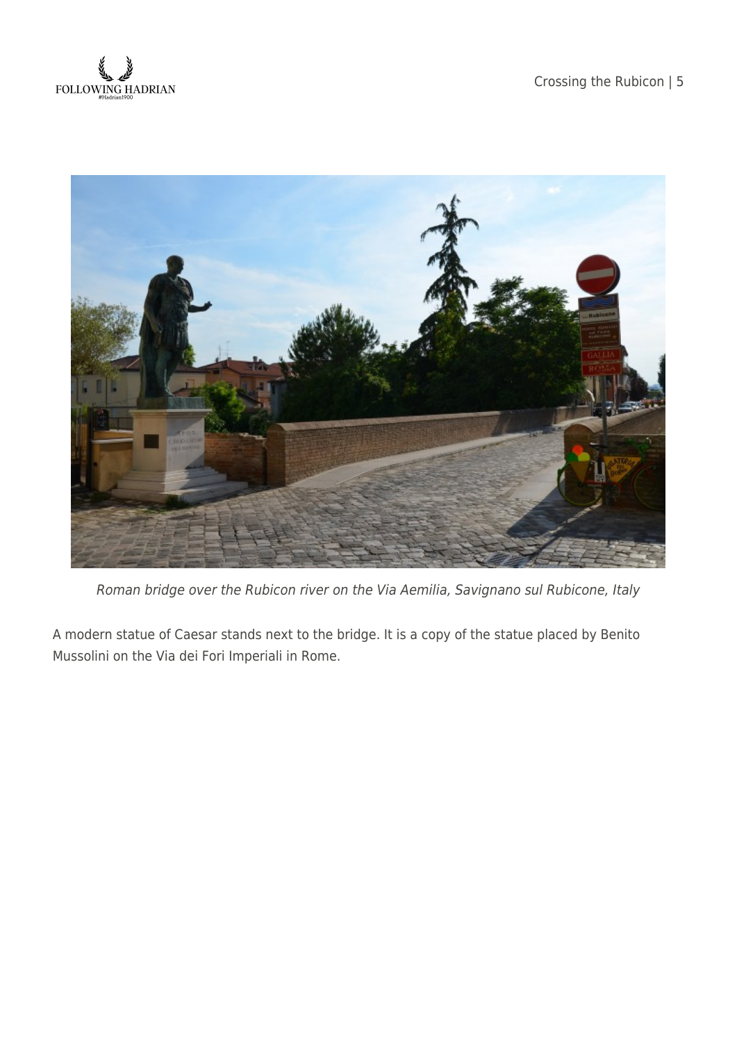



Roman bridge over the Rubicon river on the Via Aemilia, Savignano sul Rubicone, Italy

A modern statue of Caesar stands next to the bridge. It is a copy of the statue placed by Benito Mussolini on the Via dei Fori Imperiali in Rome.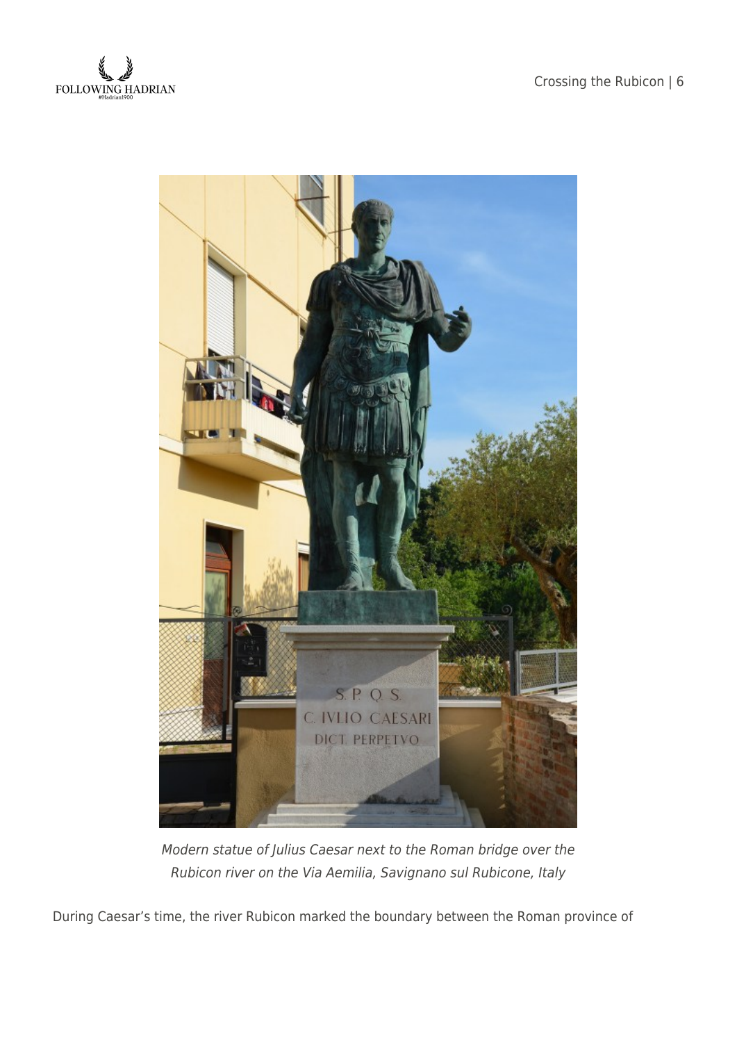



Modern statue of Julius Caesar next to the Roman bridge over the Rubicon river on the Via Aemilia, Savignano sul Rubicone, Italy

During Caesar's time, the river Rubicon marked the boundary between the Roman province of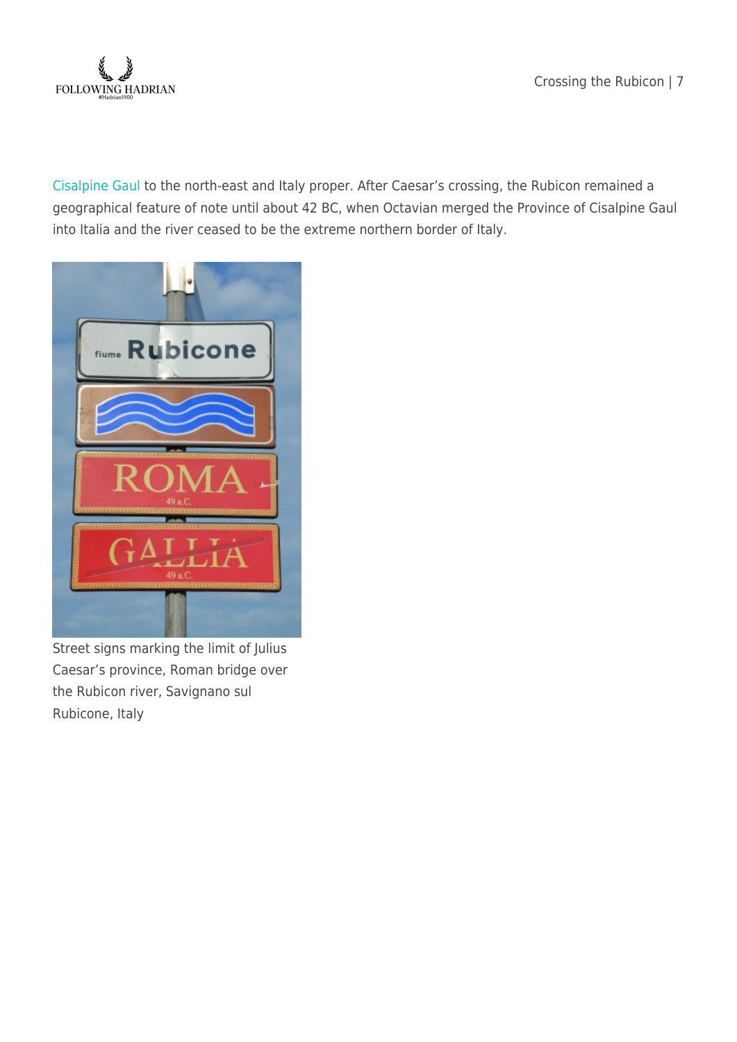Crossing the Rubicon | 7



[Cisalpine Gaul](https://en.wikipedia.org/wiki/Cisalpine_Gaul) to the north-east and Italy proper. After Caesar's crossing, the Rubicon remained a geographical feature of note until about 42 BC, when Octavian merged the Province of Cisalpine Gaul into Italia and the river ceased to be the extreme northern border of Italy.



Street signs marking the limit of Julius Caesar's province, Roman bridge over the Rubicon river, Savignano sul Rubicone, Italy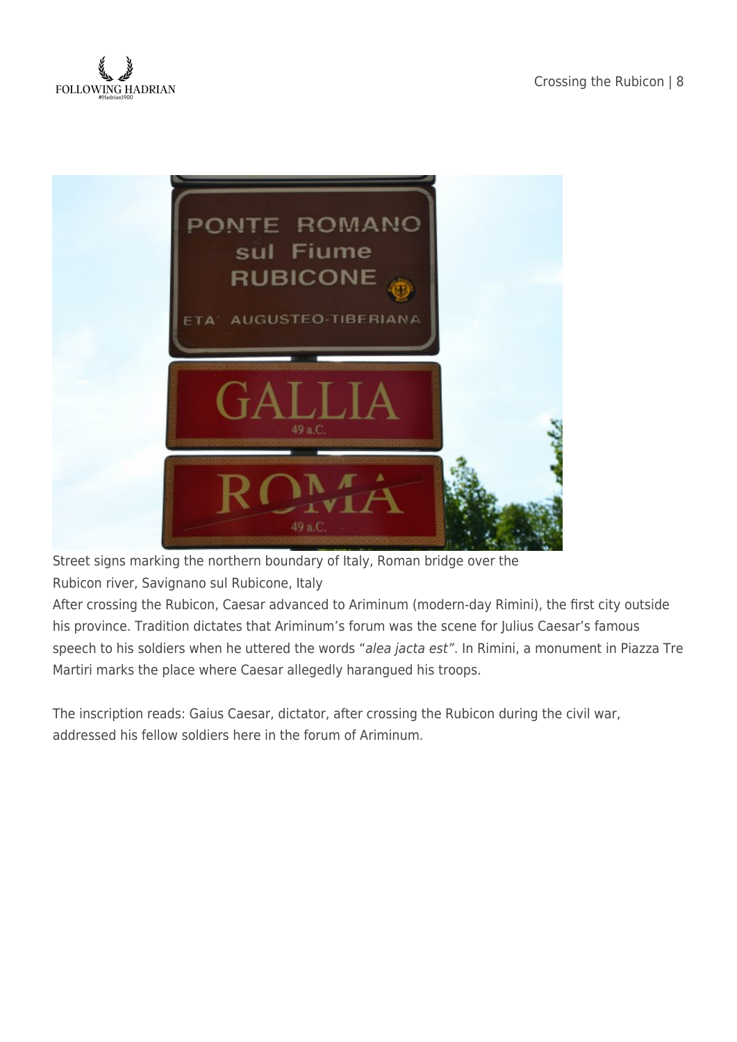



Street signs marking the northern boundary of Italy, Roman bridge over the

Rubicon river, Savignano sul Rubicone, Italy

After crossing the Rubicon, Caesar advanced to Ariminum (modern-day Rimini), the first city outside his province. Tradition dictates that Ariminum's forum was the scene for Julius Caesar's famous speech to his soldiers when he uttered the words "alea jacta est". In Rimini, a monument in Piazza Tre Martiri marks the place where Caesar allegedly harangued his troops.

The inscription reads: Gaius Caesar, dictator, after crossing the Rubicon during the civil war, addressed his fellow soldiers here in the forum of Ariminum.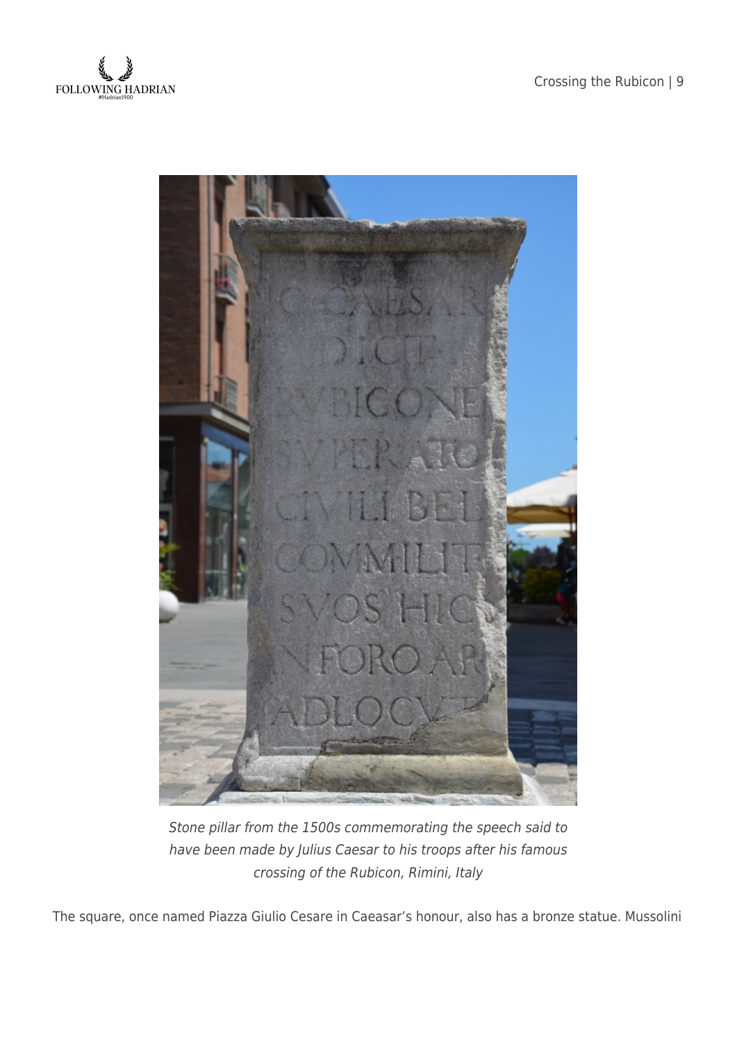



Stone pillar from the 1500s commemorating the speech said to have been made by Julius Caesar to his troops after his famous crossing of the Rubicon, Rimini, Italy

The square, once named Piazza Giulio Cesare in Caeasar's honour, also has a bronze statue. Mussolini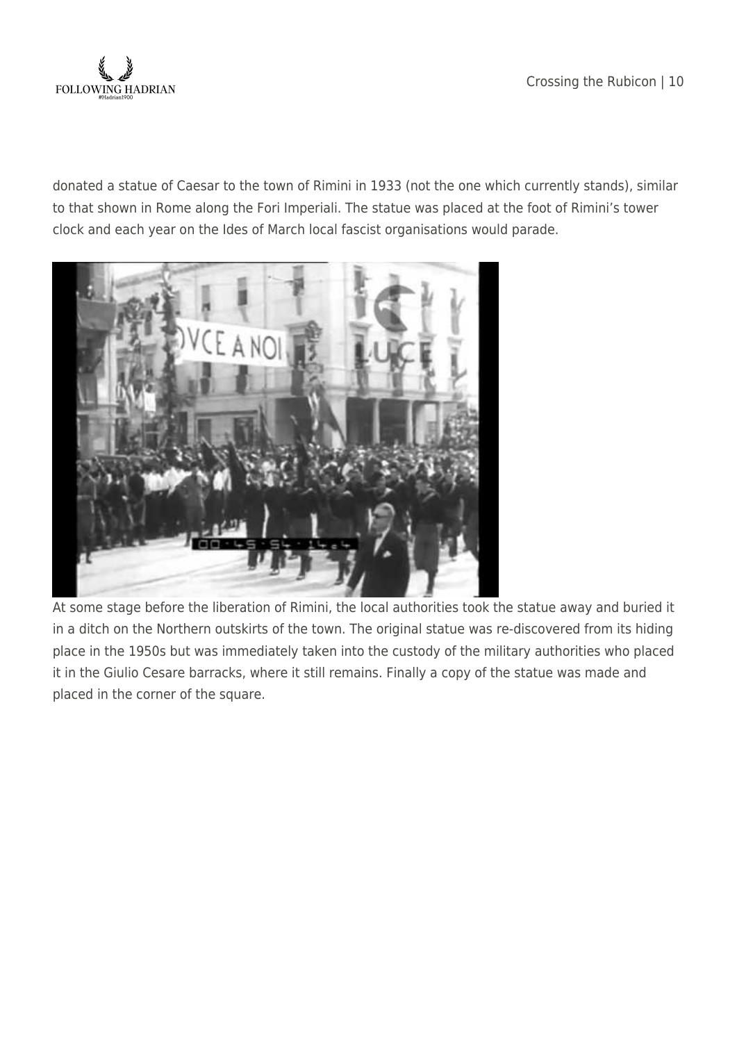

donated a statue of Caesar to the town of Rimini in 1933 (not the one which currently stands), similar to that shown in Rome along the Fori Imperiali. The statue was placed at the foot of Rimini's tower clock and each year on the Ides of March local fascist organisations would parade.



At some stage before the liberation of Rimini, the local authorities took the statue away and buried it in a ditch on the Northern outskirts of the town. The original statue was re-discovered from its hiding place in the 1950s but was immediately taken into the custody of the military authorities who placed it in the Giulio Cesare barracks, where it still remains. Finally a copy of the statue was made and placed in the corner of the square.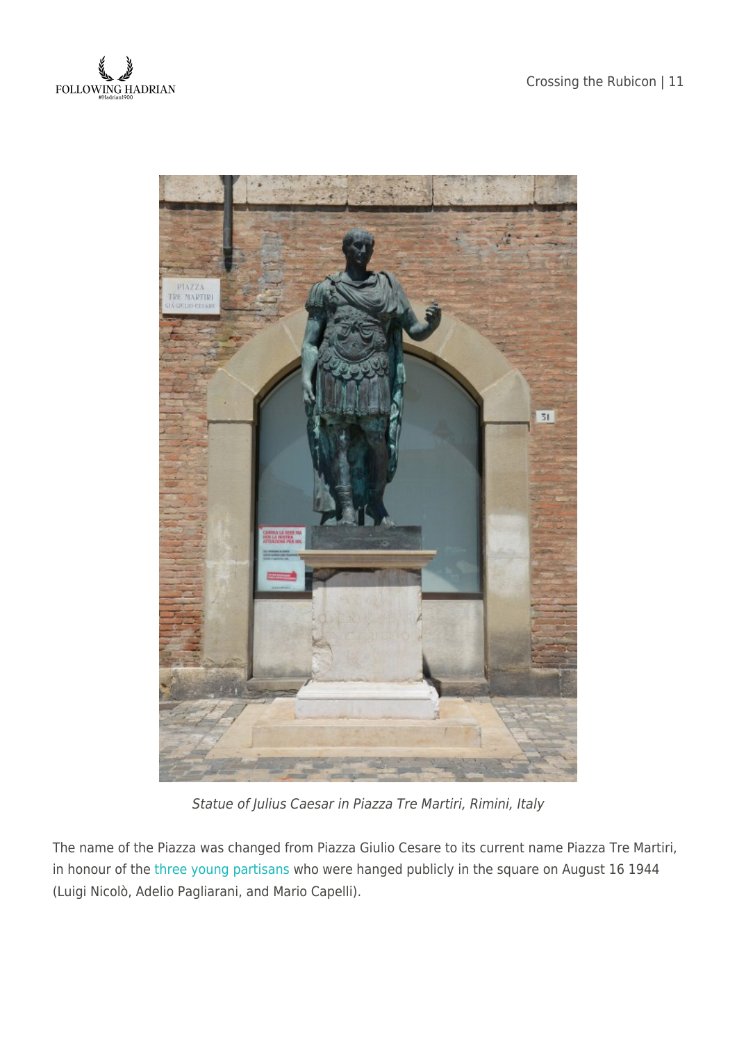



Statue of Julius Caesar in Piazza Tre Martiri, Rimini, Italy

The name of the Piazza was changed from Piazza Giulio Cesare to its current name Piazza Tre Martiri, in honour of the [three young partisans](https://it.wikipedia.org/wiki/Tre_Martiri) who were hanged publicly in the square on August 16 1944 (Luigi Nicolò, Adelio Pagliarani, and Mario Capelli).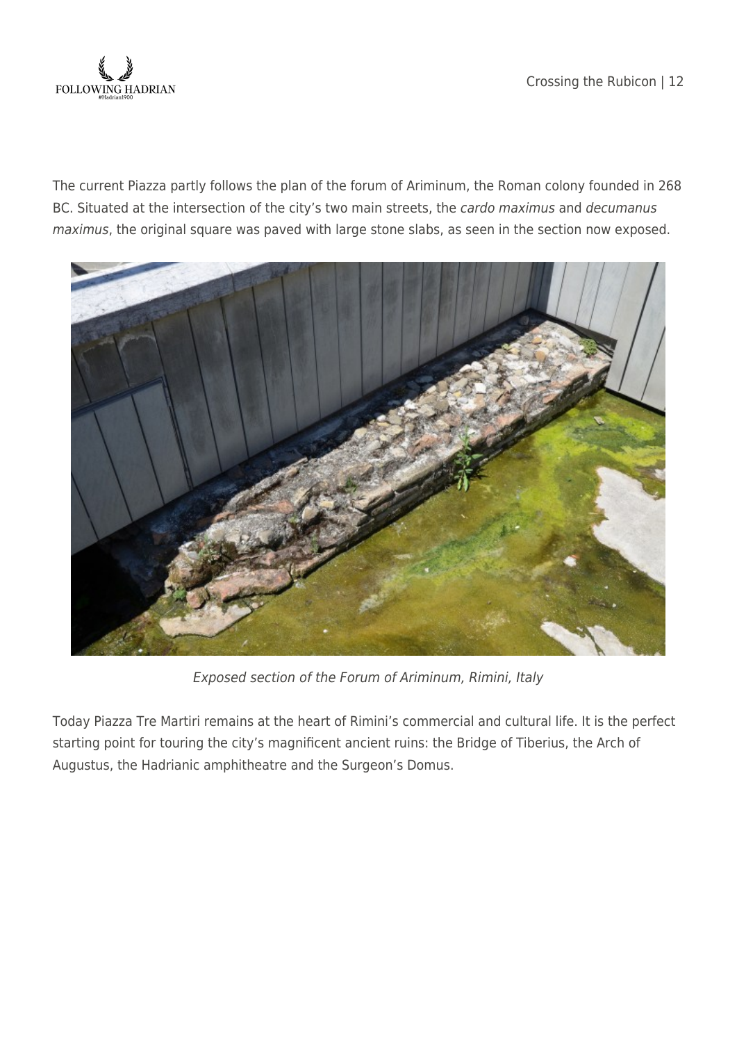

The current Piazza partly follows the plan of the forum of Ariminum, the Roman colony founded in 268 BC. Situated at the intersection of the city's two main streets, the cardo maximus and decumanus maximus, the original square was paved with large stone slabs, as seen in the section now exposed.



Exposed section of the Forum of Ariminum, Rimini, Italy

Today Piazza Tre Martiri remains at the heart of Rimini's commercial and cultural life. It is the perfect starting point for touring the city's magnificent ancient ruins: the Bridge of Tiberius, the Arch of Augustus, the Hadrianic amphitheatre and the Surgeon's Domus.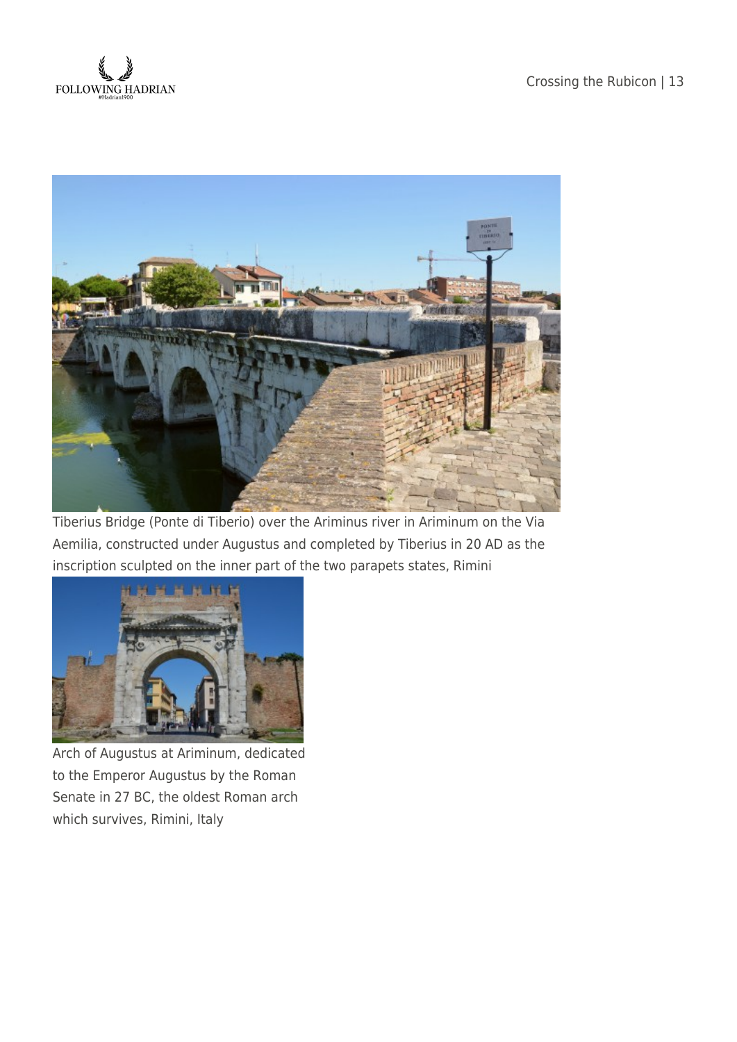



Tiberius Bridge (Ponte di Tiberio) over the Ariminus river in Ariminum on the Via Aemilia, constructed under Augustus and completed by Tiberius in 20 AD as the inscription sculpted on the inner part of the two parapets states, Rimini



Arch of Augustus at Ariminum, dedicated to the Emperor Augustus by the Roman Senate in 27 BC, the oldest Roman arch which survives, Rimini, Italy